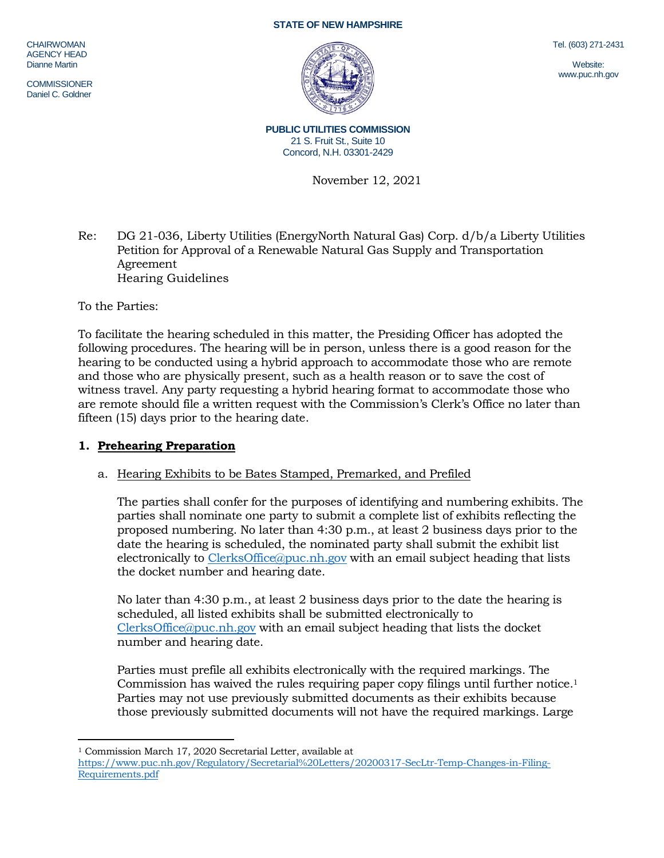**CHAIRWOMAN** AGENCY HEAD Dianne Martin

**COMMISSIONER** Daniel C. Goldner

#### **STATE OF NEW HAMPSHIRE**



Tel. (603) 271-2431

Website: www.puc.nh.gov

**PUBLIC UTILITIES COMMISSION** 21 S. Fruit St., Suite 10 Concord, N.H. 03301-2429

November 12, 2021

Re: DG 21-036, Liberty Utilities (EnergyNorth Natural Gas) Corp. d/b/a Liberty Utilities Petition for Approval of a Renewable Natural Gas Supply and Transportation Agreement Hearing Guidelines

To the Parties:

 $\overline{a}$ 

To facilitate the hearing scheduled in this matter, the Presiding Officer has adopted the following procedures. The hearing will be in person, unless there is a good reason for the hearing to be conducted using a hybrid approach to accommodate those who are remote and those who are physically present, such as a health reason or to save the cost of witness travel. Any party requesting a hybrid hearing format to accommodate those who are remote should file a written request with the Commission's Clerk's Office no later than fifteen (15) days prior to the hearing date.

## **1. Prehearing Preparation**

## a. Hearing Exhibits to be Bates Stamped, Premarked, and Prefiled

The parties shall confer for the purposes of identifying and numbering exhibits. The parties shall nominate one party to submit a complete list of exhibits reflecting the proposed numbering. No later than 4:30 p.m., at least 2 business days prior to the date the hearing is scheduled, the nominated party shall submit the exhibit list electronically to [ClerksOffice@puc.nh.gov](mailto:ClerksOffice@puc.nh.gov) with an email subject heading that lists the docket number and hearing date.

No later than 4:30 p.m., at least 2 business days prior to the date the hearing is scheduled, all listed exhibits shall be submitted electronically to [ClerksOffice@puc.nh.gov](mailto:Clerks.Office@puc.nh.gov) with an email subject heading that lists the docket number and hearing date.

Parties must prefile all exhibits electronically with the required markings. The Commission has waived the rules requiring paper copy filings until further notice. 1 Parties may not use previously submitted documents as their exhibits because those previously submitted documents will not have the required markings. Large

<sup>1</sup> Commission March 17, 2020 Secretarial Letter, available at [https://www.puc.nh.gov/Regulatory/Secretarial%20Letters/20200317-SecLtr-Temp-Changes-in-Filing-](https://www.puc.nh.gov/Regulatory/Secretarial%20Letters/20200317-SecLtr-Temp-Changes-in-Filing-Requirements.pdf)[Requirements.pdf](https://www.puc.nh.gov/Regulatory/Secretarial%20Letters/20200317-SecLtr-Temp-Changes-in-Filing-Requirements.pdf)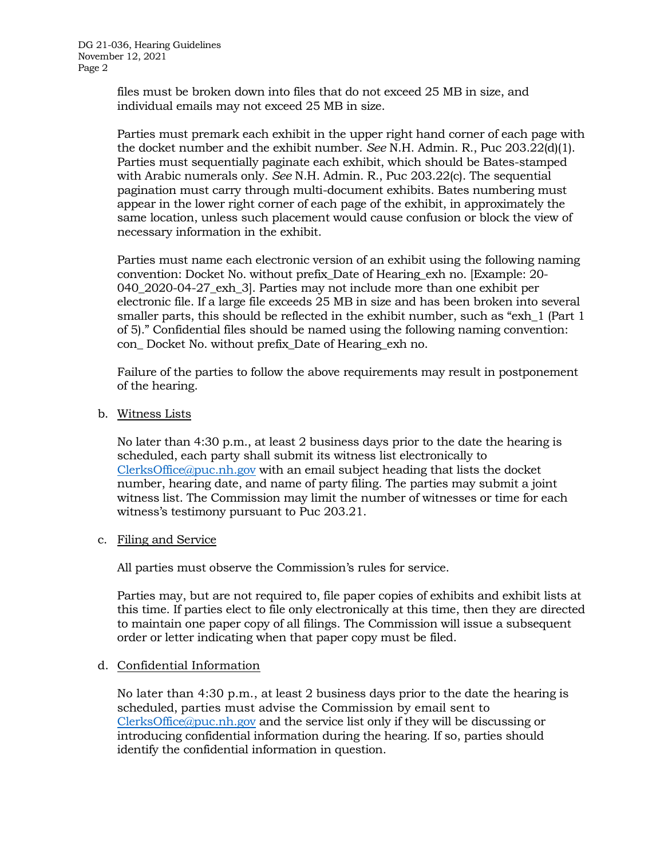files must be broken down into files that do not exceed 25 MB in size, and individual emails may not exceed 25 MB in size.

Parties must premark each exhibit in the upper right hand corner of each page with the docket number and the exhibit number. *See* N.H. Admin. R., Puc 203.22(d)(1). Parties must sequentially paginate each exhibit, which should be Bates-stamped with Arabic numerals only. *See* N.H. Admin. R., Puc 203.22(c). The sequential pagination must carry through multi-document exhibits. Bates numbering must appear in the lower right corner of each page of the exhibit, in approximately the same location, unless such placement would cause confusion or block the view of necessary information in the exhibit.

Parties must name each electronic version of an exhibit using the following naming convention: Docket No. without prefix\_Date of Hearing\_exh no. [Example: 20- 040\_2020-04-27\_exh\_3]. Parties may not include more than one exhibit per electronic file. If a large file exceeds 25 MB in size and has been broken into several smaller parts, this should be reflected in the exhibit number, such as "exh\_1 (Part 1 of 5)." Confidential files should be named using the following naming convention: con\_ Docket No. without prefix\_Date of Hearing\_exh no.

Failure of the parties to follow the above requirements may result in postponement of the hearing.

b. Witness Lists

No later than 4:30 p.m., at least 2 business days prior to the date the hearing is scheduled, each party shall submit its witness list electronically to [ClerksOffice@puc.nh.gov](mailto:Clerks.Office@puc.nh.gov) with an email subject heading that lists the docket number, hearing date, and name of party filing. The parties may submit a joint witness list. The Commission may limit the number of witnesses or time for each witness's testimony pursuant to Puc 203.21.

c. Filing and Service

All parties must observe the Commission's rules for service.

Parties may, but are not required to, file paper copies of exhibits and exhibit lists at this time. If parties elect to file only electronically at this time, then they are directed to maintain one paper copy of all filings. The Commission will issue a subsequent order or letter indicating when that paper copy must be filed.

### d. Confidential Information

No later than 4:30 p.m., at least 2 business days prior to the date the hearing is scheduled, parties must advise the Commission by email sent to [ClerksOffice@puc.nh.gov](mailto:Clerks.Office@puc.nh.gov) and the service list only if they will be discussing or introducing confidential information during the hearing. If so, parties should identify the confidential information in question.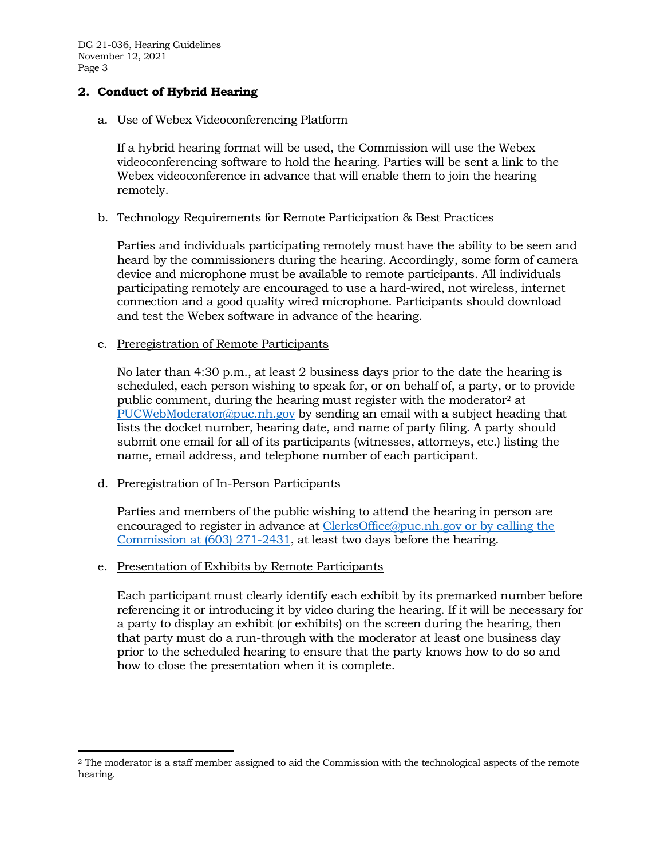DG 21-036, Hearing Guidelines November 12, 2021 Page 3

## **2. Conduct of Hybrid Hearing**

#### a. Use of Webex Videoconferencing Platform

If a hybrid hearing format will be used, the Commission will use the Webex videoconferencing software to hold the hearing. Parties will be sent a link to the Webex videoconference in advance that will enable them to join the hearing remotely.

### b. Technology Requirements for Remote Participation & Best Practices

Parties and individuals participating remotely must have the ability to be seen and heard by the commissioners during the hearing. Accordingly, some form of camera device and microphone must be available to remote participants. All individuals participating remotely are encouraged to use a hard-wired, not wireless, internet connection and a good quality wired microphone. Participants should download and test the Webex software in advance of the hearing.

#### c. Preregistration of Remote Participants

No later than 4:30 p.m., at least 2 business days prior to the date the hearing is scheduled, each person wishing to speak for, or on behalf of, a party, or to provide public comment, during the hearing must register with the moderator<sup>2</sup> at [PUCWebModerator@puc.nh.gov](mailto:PUCWebModerator@puc.nh.gov) by sending an email with a subject heading that lists the docket number, hearing date, and name of party filing. A party should submit one email for all of its participants (witnesses, attorneys, etc.) listing the name, email address, and telephone number of each participant.

### d. Preregistration of In-Person Participants

 $\overline{a}$ 

Parties and members of the public wishing to attend the hearing in person are encouraged to register in advance at [ClerksOffice@puc.nh.gov](mailto:Clerks.Office@puc.nh.gov) or by calling the Commission at (603) 271-2431, at least two days before the hearing.

### e. Presentation of Exhibits by Remote Participants

Each participant must clearly identify each exhibit by its premarked number before referencing it or introducing it by video during the hearing. If it will be necessary for a party to display an exhibit (or exhibits) on the screen during the hearing, then that party must do a run-through with the moderator at least one business day prior to the scheduled hearing to ensure that the party knows how to do so and how to close the presentation when it is complete.

<sup>2</sup> The moderator is a staff member assigned to aid the Commission with the technological aspects of the remote hearing.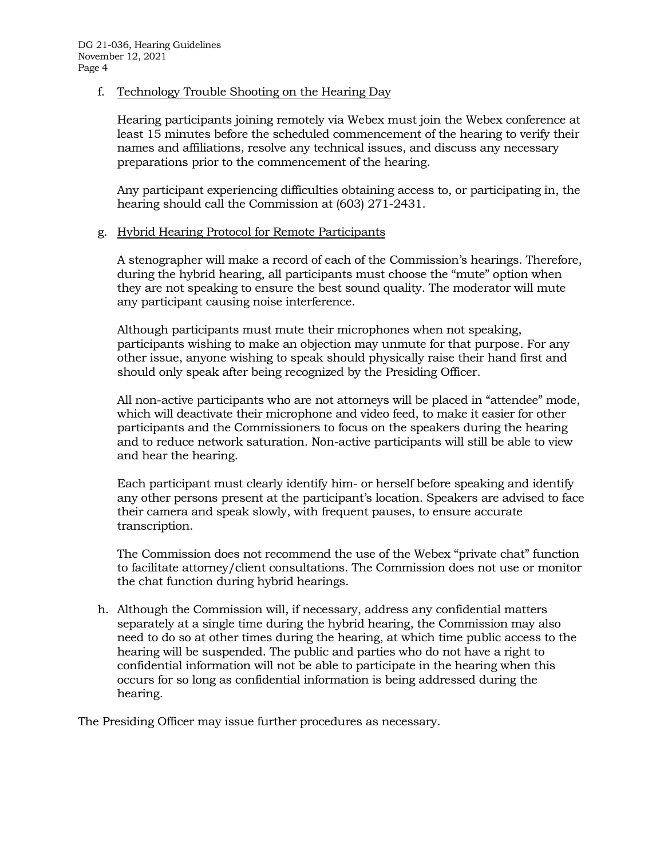## f. Technology Trouble Shooting on the Hearing Day

Hearing participants joining remotely via Webex must join the Webex conference at least 15 minutes before the scheduled commencement of the hearing to verify their names and affiliations, resolve any technical issues, and discuss any necessary preparations prior to the commencement of the hearing.

Any participant experiencing difficulties obtaining access to, or participating in, the hearing should call the Commission at (603) 271-2431.

## g. Hybrid Hearing Protocol for Remote Participants

A stenographer will make a record of each of the Commission's hearings. Therefore, during the hybrid hearing, all participants must choose the "mute" option when they are not speaking to ensure the best sound quality. The moderator will mute any participant causing noise interference.

Although participants must mute their microphones when not speaking, participants wishing to make an objection may unmute for that purpose. For any other issue, anyone wishing to speak should physically raise their hand first and should only speak after being recognized by the Presiding Officer.

All non-active participants who are not attorneys will be placed in "attendee" mode, which will deactivate their microphone and video feed, to make it easier for other participants and the Commissioners to focus on the speakers during the hearing and to reduce network saturation. Non-active participants will still be able to view and hear the hearing.

Each participant must clearly identify him- or herself before speaking and identify any other persons present at the participant's location. Speakers are advised to face their camera and speak slowly, with frequent pauses, to ensure accurate transcription.

The Commission does not recommend the use of the Webex "private chat" function to facilitate attorney/client consultations. The Commission does not use or monitor the chat function during hybrid hearings.

h. Although the Commission will, if necessary, address any confidential matters separately at a single time during the hybrid hearing, the Commission may also need to do so at other times during the hearing, at which time public access to the hearing will be suspended. The public and parties who do not have a right to confidential information will not be able to participate in the hearing when this occurs for so long as confidential information is being addressed during the hearing.

The Presiding Officer may issue further procedures as necessary.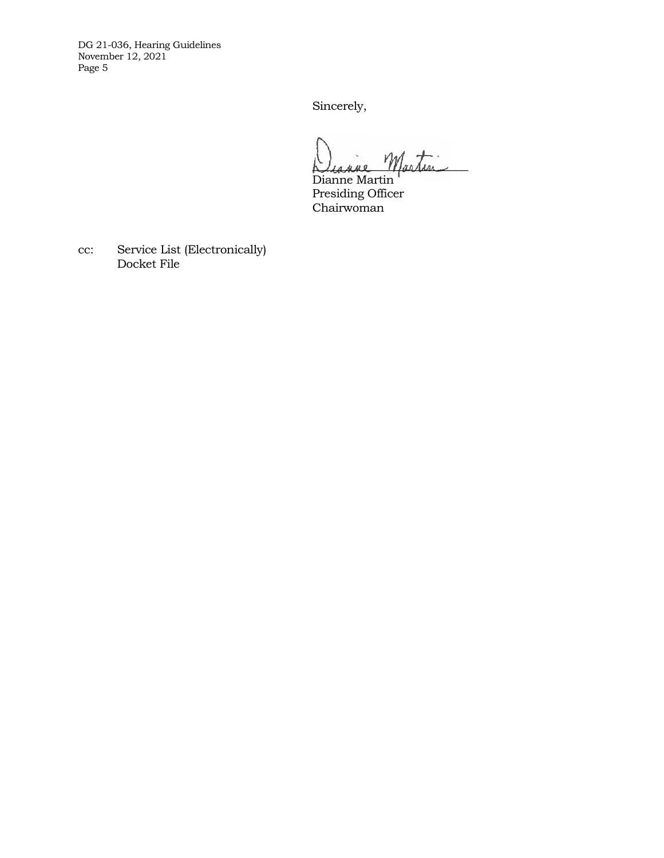DG 21-036, Hearing Guidelines November 12, 2021 Page 5

Sincerely,

Diagne Martin

Dianne Martin Presiding Officer Chairwoman

cc: Service List (Electronically) Docket File